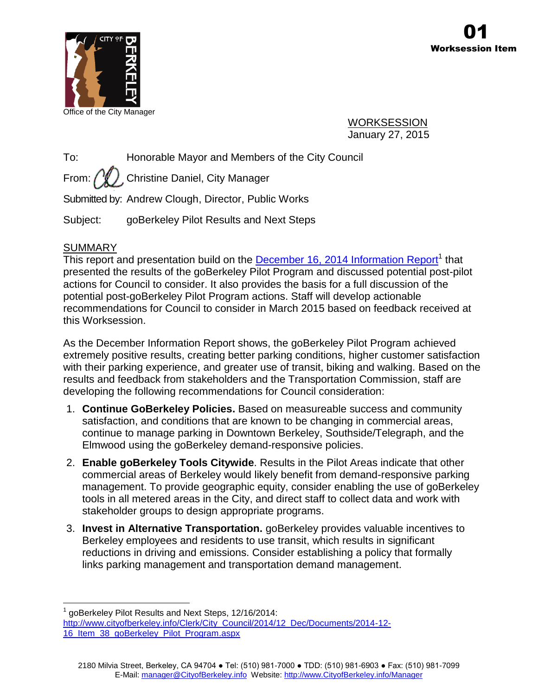

Office of the City Manager

WORKSESSION January 27, 2015

To: Honorable Mayor and Members of the City Council

From:  $\binom{M}{k}$ , Christine Daniel, City Manager

Submitted by: Andrew Clough, Director, Public Works

Subject: goBerkeley Pilot Results and Next Steps

# **SUMMARY**

This report and presentation build on the **December 16, 2014 Information Report**<sup>1</sup> that presented the results of the goBerkeley Pilot Program and discussed potential post-pilot actions for Council to consider. It also provides the basis for a full discussion of the potential post-goBerkeley Pilot Program actions. Staff will develop actionable recommendations for Council to consider in March 2015 based on feedback received at this Worksession.

As the December Information Report shows, the goBerkeley Pilot Program achieved extremely positive results, creating better parking conditions, higher customer satisfaction with their parking experience, and greater use of transit, biking and walking. Based on the results and feedback from stakeholders and the Transportation Commission, staff are developing the following recommendations for Council consideration:

- 1. **Continue GoBerkeley Policies.** Based on measureable success and community satisfaction, and conditions that are known to be changing in commercial areas, continue to manage parking in Downtown Berkeley, Southside/Telegraph, and the Elmwood using the goBerkeley demand-responsive policies.
- 2. **Enable goBerkeley Tools Citywide**. Results in the Pilot Areas indicate that other commercial areas of Berkeley would likely benefit from demand-responsive parking management. To provide geographic equity, consider enabling the use of goBerkeley tools in all metered areas in the City, and direct staff to collect data and work with stakeholder groups to design appropriate programs.
- 3. **Invest in Alternative Transportation.** goBerkeley provides valuable incentives to Berkeley employees and residents to use transit, which results in significant reductions in driving and emissions. Consider establishing a policy that formally links parking management and transportation demand management.

 $\overline{a}$ 1 goBerkeley Pilot Results and Next Steps, 12/16/2014:

[http://www.cityofberkeley.info/Clerk/City\\_Council/2014/12\\_Dec/Documents/2014-12-](http://www.cityofberkeley.info/Clerk/City_Council/2014/12_Dec/Documents/2014-12-16_Item_38_goBerkeley_Pilot_Program.aspx) [16\\_Item\\_38\\_goBerkeley\\_Pilot\\_Program.aspx](http://www.cityofberkeley.info/Clerk/City_Council/2014/12_Dec/Documents/2014-12-16_Item_38_goBerkeley_Pilot_Program.aspx)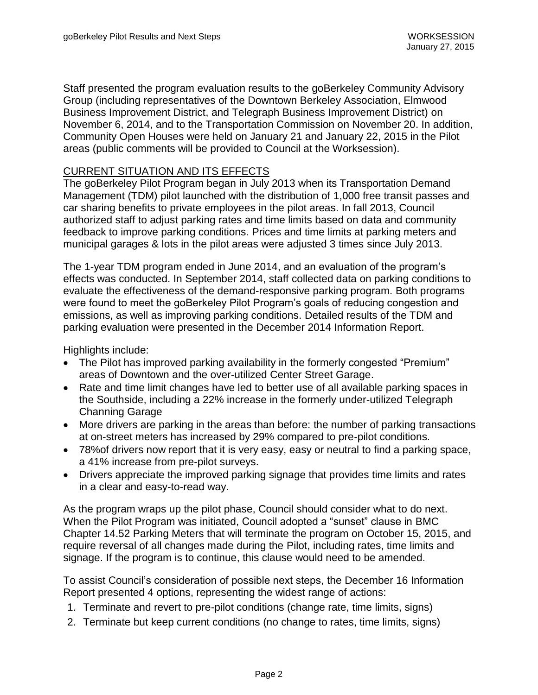Staff presented the program evaluation results to the goBerkeley Community Advisory Group (including representatives of the Downtown Berkeley Association, Elmwood Business Improvement District, and Telegraph Business Improvement District) on November 6, 2014, and to the Transportation Commission on November 20. In addition, Community Open Houses were held on January 21 and January 22, 2015 in the Pilot areas (public comments will be provided to Council at the Worksession).

### CURRENT SITUATION AND ITS EFFECTS

The goBerkeley Pilot Program began in July 2013 when its Transportation Demand Management (TDM) pilot launched with the distribution of 1,000 free transit passes and car sharing benefits to private employees in the pilot areas. In fall 2013, Council authorized staff to adjust parking rates and time limits based on data and community feedback to improve parking conditions. Prices and time limits at parking meters and municipal garages & lots in the pilot areas were adjusted 3 times since July 2013.

The 1-year TDM program ended in June 2014, and an evaluation of the program's effects was conducted. In September 2014, staff collected data on parking conditions to evaluate the effectiveness of the demand-responsive parking program. Both programs were found to meet the goBerkeley Pilot Program's goals of reducing congestion and emissions, as well as improving parking conditions. Detailed results of the TDM and parking evaluation were presented in the December 2014 Information Report.

Highlights include:

- The Pilot has improved parking availability in the formerly congested "Premium" areas of Downtown and the over-utilized Center Street Garage.
- Rate and time limit changes have led to better use of all available parking spaces in the Southside, including a 22% increase in the formerly under-utilized Telegraph Channing Garage
- More drivers are parking in the areas than before: the number of parking transactions at on-street meters has increased by 29% compared to pre-pilot conditions.
- 78%of drivers now report that it is very easy, easy or neutral to find a parking space, a 41% increase from pre-pilot surveys.
- Drivers appreciate the improved parking signage that provides time limits and rates in a clear and easy-to-read way.

As the program wraps up the pilot phase, Council should consider what to do next. When the Pilot Program was initiated, Council adopted a "sunset" clause in BMC Chapter 14.52 Parking Meters that will terminate the program on October 15, 2015, and require reversal of all changes made during the Pilot, including rates, time limits and signage. If the program is to continue, this clause would need to be amended.

To assist Council's consideration of possible next steps, the December 16 Information Report presented 4 options, representing the widest range of actions:

- 1. Terminate and revert to pre-pilot conditions (change rate, time limits, signs)
- 2. Terminate but keep current conditions (no change to rates, time limits, signs)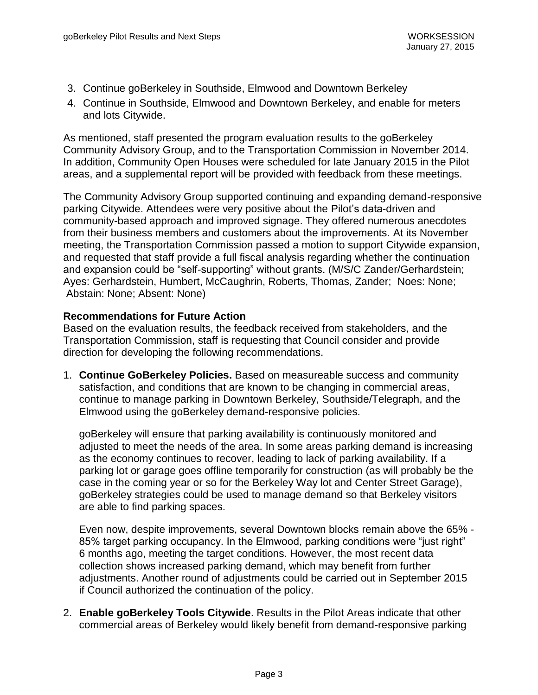- 3. Continue goBerkeley in Southside, Elmwood and Downtown Berkeley
- 4. Continue in Southside, Elmwood and Downtown Berkeley, and enable for meters and lots Citywide.

As mentioned, staff presented the program evaluation results to the goBerkeley Community Advisory Group, and to the Transportation Commission in November 2014. In addition, Community Open Houses were scheduled for late January 2015 in the Pilot areas, and a supplemental report will be provided with feedback from these meetings.

The Community Advisory Group supported continuing and expanding demand-responsive parking Citywide. Attendees were very positive about the Pilot's data-driven and community-based approach and improved signage. They offered numerous anecdotes from their business members and customers about the improvements. At its November meeting, the Transportation Commission passed a motion to support Citywide expansion, and requested that staff provide a full fiscal analysis regarding whether the continuation and expansion could be "self-supporting" without grants. (M/S/C Zander/Gerhardstein; Ayes: Gerhardstein, Humbert, McCaughrin, Roberts, Thomas, Zander; Noes: None; Abstain: None; Absent: None)

### **Recommendations for Future Action**

Based on the evaluation results, the feedback received from stakeholders, and the Transportation Commission, staff is requesting that Council consider and provide direction for developing the following recommendations.

1. **Continue GoBerkeley Policies.** Based on measureable success and community satisfaction, and conditions that are known to be changing in commercial areas, continue to manage parking in Downtown Berkeley, Southside/Telegraph, and the Elmwood using the goBerkeley demand-responsive policies.

goBerkeley will ensure that parking availability is continuously monitored and adjusted to meet the needs of the area. In some areas parking demand is increasing as the economy continues to recover, leading to lack of parking availability. If a parking lot or garage goes offline temporarily for construction (as will probably be the case in the coming year or so for the Berkeley Way lot and Center Street Garage), goBerkeley strategies could be used to manage demand so that Berkeley visitors are able to find parking spaces.

Even now, despite improvements, several Downtown blocks remain above the 65% - 85% target parking occupancy. In the Elmwood, parking conditions were "just right" 6 months ago, meeting the target conditions. However, the most recent data collection shows increased parking demand, which may benefit from further adjustments. Another round of adjustments could be carried out in September 2015 if Council authorized the continuation of the policy.

2. **Enable goBerkeley Tools Citywide**. Results in the Pilot Areas indicate that other commercial areas of Berkeley would likely benefit from demand-responsive parking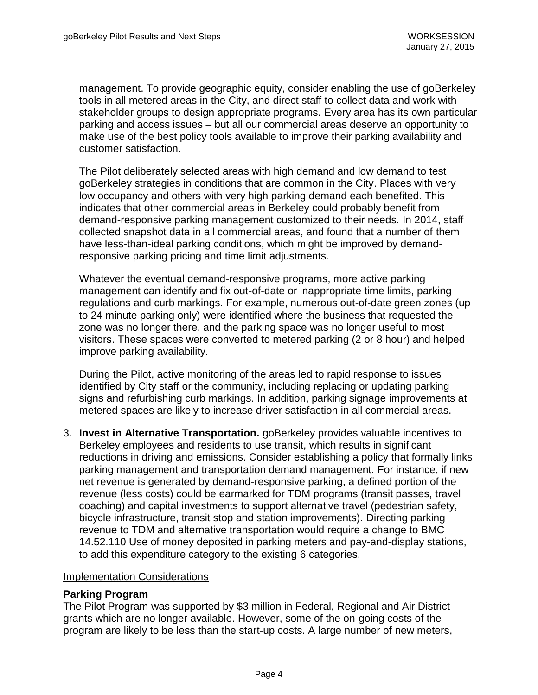management. To provide geographic equity, consider enabling the use of goBerkeley tools in all metered areas in the City, and direct staff to collect data and work with stakeholder groups to design appropriate programs. Every area has its own particular parking and access issues – but all our commercial areas deserve an opportunity to make use of the best policy tools available to improve their parking availability and customer satisfaction.

The Pilot deliberately selected areas with high demand and low demand to test goBerkeley strategies in conditions that are common in the City. Places with very low occupancy and others with very high parking demand each benefited. This indicates that other commercial areas in Berkeley could probably benefit from demand-responsive parking management customized to their needs. In 2014, staff collected snapshot data in all commercial areas, and found that a number of them have less-than-ideal parking conditions, which might be improved by demandresponsive parking pricing and time limit adjustments.

Whatever the eventual demand-responsive programs, more active parking management can identify and fix out-of-date or inappropriate time limits, parking regulations and curb markings. For example, numerous out-of-date green zones (up to 24 minute parking only) were identified where the business that requested the zone was no longer there, and the parking space was no longer useful to most visitors. These spaces were converted to metered parking (2 or 8 hour) and helped improve parking availability.

During the Pilot, active monitoring of the areas led to rapid response to issues identified by City staff or the community, including replacing or updating parking signs and refurbishing curb markings. In addition, parking signage improvements at metered spaces are likely to increase driver satisfaction in all commercial areas.

3. **Invest in Alternative Transportation.** goBerkeley provides valuable incentives to Berkeley employees and residents to use transit, which results in significant reductions in driving and emissions. Consider establishing a policy that formally links parking management and transportation demand management. For instance, if new net revenue is generated by demand-responsive parking, a defined portion of the revenue (less costs) could be earmarked for TDM programs (transit passes, travel coaching) and capital investments to support alternative travel (pedestrian safety, bicycle infrastructure, transit stop and station improvements). Directing parking revenue to TDM and alternative transportation would require a change to BMC 14.52.110 Use of money deposited in parking meters and pay-and-display stations, to add this expenditure category to the existing 6 categories.

#### Implementation Considerations

### **Parking Program**

The Pilot Program was supported by \$3 million in Federal, Regional and Air District grants which are no longer available. However, some of the on-going costs of the program are likely to be less than the start-up costs. A large number of new meters,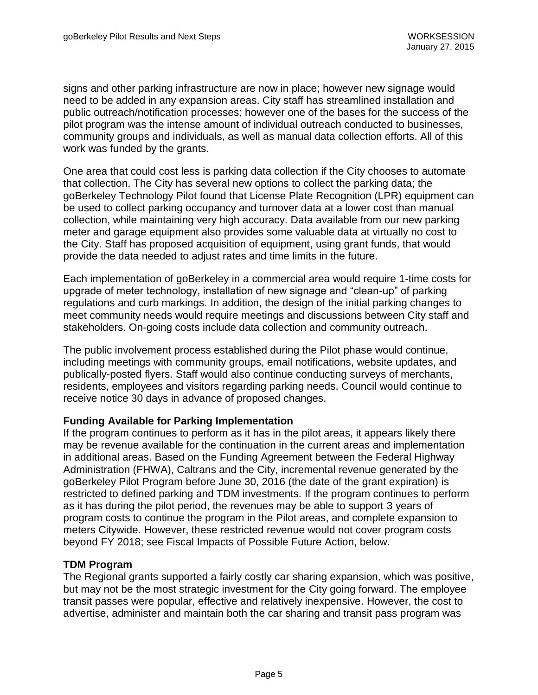signs and other parking infrastructure are now in place; however new signage would need to be added in any expansion areas. City staff has streamlined installation and public outreach/notification processes; however one of the bases for the success of the pilot program was the intense amount of individual outreach conducted to businesses, community groups and individuals, as well as manual data collection efforts. All of this work was funded by the grants.

One area that could cost less is parking data collection if the City chooses to automate that collection. The City has several new options to collect the parking data; the goBerkeley Technology Pilot found that License Plate Recognition (LPR) equipment can be used to collect parking occupancy and turnover data at a lower cost than manual collection, while maintaining very high accuracy. Data available from our new parking meter and garage equipment also provides some valuable data at virtually no cost to the City. Staff has proposed acquisition of equipment, using grant funds, that would provide the data needed to adjust rates and time limits in the future.

Each implementation of goBerkeley in a commercial area would require 1-time costs for upgrade of meter technology, installation of new signage and "clean-up" of parking regulations and curb markings. In addition, the design of the initial parking changes to meet community needs would require meetings and discussions between City staff and stakeholders. On-going costs include data collection and community outreach.

The public involvement process established during the Pilot phase would continue, including meetings with community groups, email notifications, website updates, and publically-posted flyers. Staff would also continue conducting surveys of merchants, residents, employees and visitors regarding parking needs. Council would continue to receive notice 30 days in advance of proposed changes.

### **Funding Available for Parking Implementation**

If the program continues to perform as it has in the pilot areas, it appears likely there may be revenue available for the continuation in the current areas and implementation in additional areas. Based on the Funding Agreement between the Federal Highway Administration (FHWA), Caltrans and the City, incremental revenue generated by the goBerkeley Pilot Program before June 30, 2016 (the date of the grant expiration) is restricted to defined parking and TDM investments. If the program continues to perform as it has during the pilot period, the revenues may be able to support 3 years of program costs to continue the program in the Pilot areas, and complete expansion to meters Citywide. However, these restricted revenue would not cover program costs beyond FY 2018; see Fiscal Impacts of Possible Future Action, below.

### **TDM Program**

The Regional grants supported a fairly costly car sharing expansion, which was positive, but may not be the most strategic investment for the City going forward. The employee transit passes were popular, effective and relatively inexpensive. However, the cost to advertise, administer and maintain both the car sharing and transit pass program was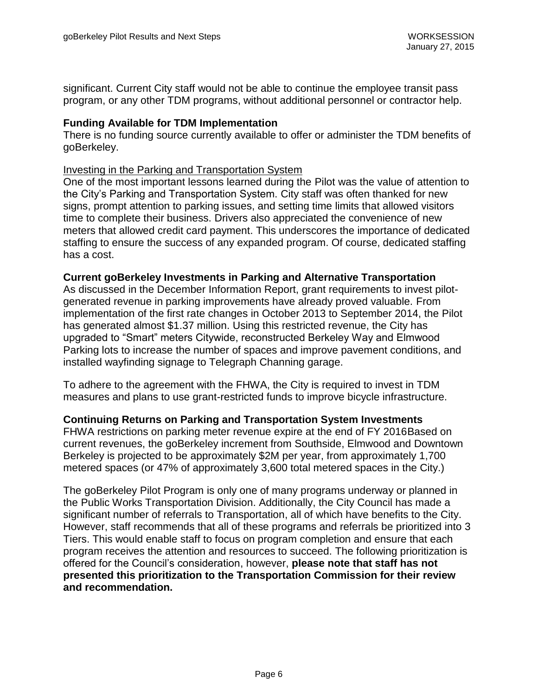significant. Current City staff would not be able to continue the employee transit pass program, or any other TDM programs, without additional personnel or contractor help.

### **Funding Available for TDM Implementation**

There is no funding source currently available to offer or administer the TDM benefits of goBerkeley.

#### Investing in the Parking and Transportation System

One of the most important lessons learned during the Pilot was the value of attention to the City's Parking and Transportation System. City staff was often thanked for new signs, prompt attention to parking issues, and setting time limits that allowed visitors time to complete their business. Drivers also appreciated the convenience of new meters that allowed credit card payment. This underscores the importance of dedicated staffing to ensure the success of any expanded program. Of course, dedicated staffing has a cost.

### **Current goBerkeley Investments in Parking and Alternative Transportation**

As discussed in the December Information Report, grant requirements to invest pilotgenerated revenue in parking improvements have already proved valuable. From implementation of the first rate changes in October 2013 to September 2014, the Pilot has generated almost \$1.37 million. Using this restricted revenue, the City has upgraded to "Smart" meters Citywide, reconstructed Berkeley Way and Elmwood Parking lots to increase the number of spaces and improve pavement conditions, and installed wayfinding signage to Telegraph Channing garage.

To adhere to the agreement with the FHWA, the City is required to invest in TDM measures and plans to use grant-restricted funds to improve bicycle infrastructure.

**Continuing Returns on Parking and Transportation System Investments**

FHWA restrictions on parking meter revenue expire at the end of FY 2016Based on current revenues, the goBerkeley increment from Southside, Elmwood and Downtown Berkeley is projected to be approximately \$2M per year, from approximately 1,700 metered spaces (or 47% of approximately 3,600 total metered spaces in the City.)

The goBerkeley Pilot Program is only one of many programs underway or planned in the Public Works Transportation Division. Additionally, the City Council has made a significant number of referrals to Transportation, all of which have benefits to the City. However, staff recommends that all of these programs and referrals be prioritized into 3 Tiers. This would enable staff to focus on program completion and ensure that each program receives the attention and resources to succeed. The following prioritization is offered for the Council's consideration, however, **please note that staff has not presented this prioritization to the Transportation Commission for their review and recommendation.**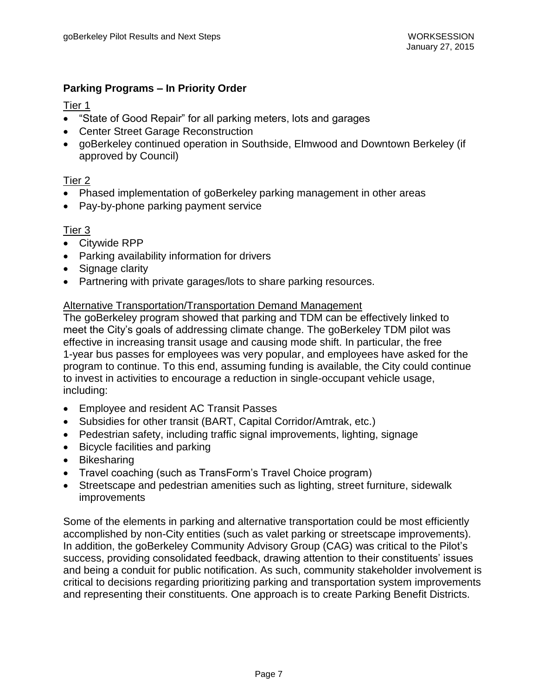## **Parking Programs – In Priority Order**

## Tier 1

- "State of Good Repair" for all parking meters, lots and garages
- Center Street Garage Reconstruction
- goBerkeley continued operation in Southside, Elmwood and Downtown Berkeley (if approved by Council)

## Tier 2

- Phased implementation of goBerkeley parking management in other areas
- Pay-by-phone parking payment service

## Tier 3

- Citywide RPP
- Parking availability information for drivers
- Signage clarity
- Partnering with private garages/lots to share parking resources.

### Alternative Transportation/Transportation Demand Management

The goBerkeley program showed that parking and TDM can be effectively linked to meet the City's goals of addressing climate change. The goBerkeley TDM pilot was effective in increasing transit usage and causing mode shift. In particular, the free 1-year bus passes for employees was very popular, and employees have asked for the program to continue. To this end, assuming funding is available, the City could continue to invest in activities to encourage a reduction in single-occupant vehicle usage, including:

- Employee and resident AC Transit Passes
- Subsidies for other transit (BART, Capital Corridor/Amtrak, etc.)
- Pedestrian safety, including traffic signal improvements, lighting, signage
- Bicycle facilities and parking
- Bikesharing
- Travel coaching (such as TransForm's Travel Choice program)
- Streetscape and pedestrian amenities such as lighting, street furniture, sidewalk improvements

Some of the elements in parking and alternative transportation could be most efficiently accomplished by non-City entities (such as valet parking or streetscape improvements). In addition, the goBerkeley Community Advisory Group (CAG) was critical to the Pilot's success, providing consolidated feedback, drawing attention to their constituents' issues and being a conduit for public notification. As such, community stakeholder involvement is critical to decisions regarding prioritizing parking and transportation system improvements and representing their constituents. One approach is to create Parking Benefit Districts.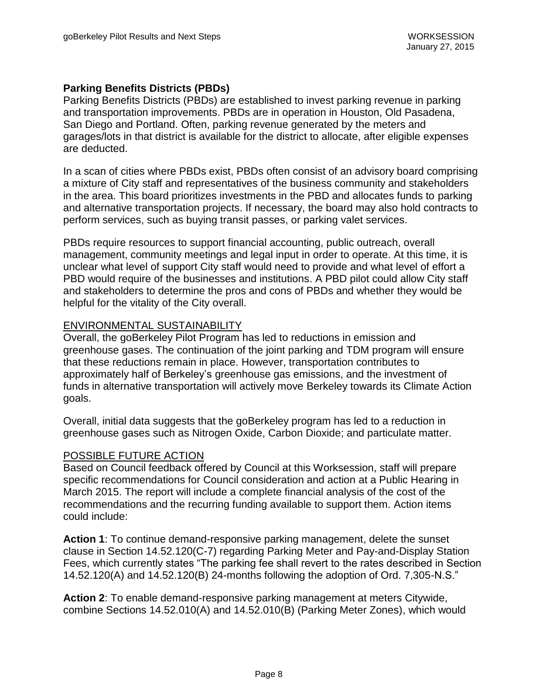### **Parking Benefits Districts (PBDs)**

Parking Benefits Districts (PBDs) are established to invest parking revenue in parking and transportation improvements. PBDs are in operation in Houston, Old Pasadena, San Diego and Portland. Often, parking revenue generated by the meters and garages/lots in that district is available for the district to allocate, after eligible expenses are deducted.

In a scan of cities where PBDs exist, PBDs often consist of an advisory board comprising a mixture of City staff and representatives of the business community and stakeholders in the area. This board prioritizes investments in the PBD and allocates funds to parking and alternative transportation projects. If necessary, the board may also hold contracts to perform services, such as buying transit passes, or parking valet services.

PBDs require resources to support financial accounting, public outreach, overall management, community meetings and legal input in order to operate. At this time, it is unclear what level of support City staff would need to provide and what level of effort a PBD would require of the businesses and institutions. A PBD pilot could allow City staff and stakeholders to determine the pros and cons of PBDs and whether they would be helpful for the vitality of the City overall.

### ENVIRONMENTAL SUSTAINABILITY

Overall, the goBerkeley Pilot Program has led to reductions in emission and greenhouse gases. The continuation of the joint parking and TDM program will ensure that these reductions remain in place. However, transportation contributes to approximately half of Berkeley's greenhouse gas emissions, and the investment of funds in alternative transportation will actively move Berkeley towards its Climate Action goals.

Overall, initial data suggests that the goBerkeley program has led to a reduction in greenhouse gases such as Nitrogen Oxide, Carbon Dioxide; and particulate matter.

### POSSIBLE FUTURE ACTION

Based on Council feedback offered by Council at this Worksession, staff will prepare specific recommendations for Council consideration and action at a Public Hearing in March 2015. The report will include a complete financial analysis of the cost of the recommendations and the recurring funding available to support them. Action items could include:

**Action 1**: To continue demand-responsive parking management, delete the sunset clause in Section 14.52.120(C-7) regarding Parking Meter and Pay-and-Display Station Fees, which currently states "The parking fee shall revert to the rates described in Section 14.52.120(A) and 14.52.120(B) 24-months following the adoption of Ord. 7,305-N.S."

**Action 2**: To enable demand-responsive parking management at meters Citywide, combine Sections 14.52.010(A) and 14.52.010(B) (Parking Meter Zones), which would